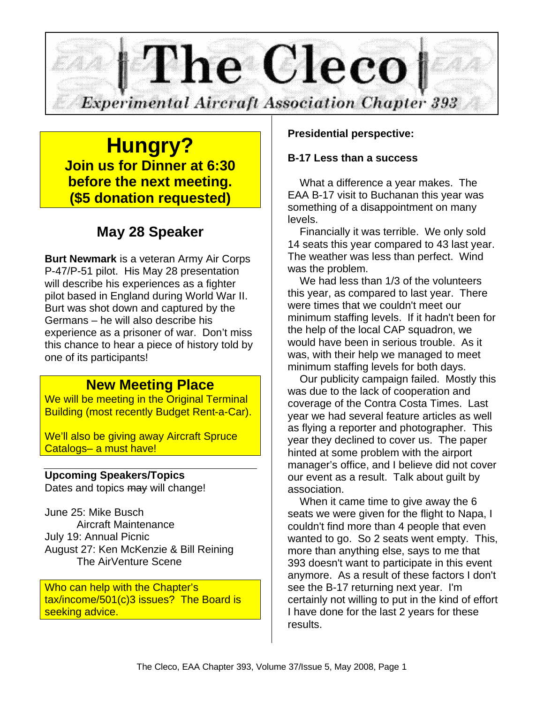

**Hungry? Join us for Dinner at 6:30 before the next meeting. (\$5 donation requested)**

# **May 28 Speaker**

**Burt Newmark** is a veteran Army Air Corps P-47/P-51 pilot. His May 28 presentation will describe his experiences as a fighter pilot based in England during World War II. Burt was shot down and captured by the Germans – he will also describe his experience as a prisoner of war. Don't miss this chance to hear a piece of history told by one of its participants!

## **New Meeting Place**

We will be meeting in the Original Terminal Building (most recently Budget Rent-a-Car).

We'll also be giving away Aircraft Spruce Catalogs– a must have!

### **Upcoming Speakers/Topics**

Dates and topics may will change!

June 25: Mike Busch Aircraft Maintenance July 19: Annual Picnic August 27: Ken McKenzie & Bill Reining The AirVenture Scene

Who can help with the Chapter's tax/income/501(c)3 issues? The Board is seeking advice.

#### **Presidential perspective:**

#### **B-17 Less than a success**

What a difference a year makes. The EAA B-17 visit to Buchanan this year was something of a disappointment on many levels.

Financially it was terrible. We only sold 14 seats this year compared to 43 last year. The weather was less than perfect. Wind was the problem.

We had less than 1/3 of the volunteers this year, as compared to last year. There were times that we couldn't meet our minimum staffing levels. If it hadn't been for the help of the local CAP squadron, we would have been in serious trouble. As it was, with their help we managed to meet minimum staffing levels for both days.

Our publicity campaign failed. Mostly this was due to the lack of cooperation and coverage of the Contra Costa Times. Last year we had several feature articles as well as flying a reporter and photographer. This year they declined to cover us. The paper hinted at some problem with the airport manager's office, and I believe did not cover our event as a result. Talk about guilt by association.

When it came time to give away the 6 seats we were given for the flight to Napa, I couldn't find more than 4 people that even wanted to go. So 2 seats went empty. This, more than anything else, says to me that 393 doesn't want to participate in this event anymore. As a result of these factors I don't see the B-17 returning next year. I'm certainly not willing to put in the kind of effort I have done for the last 2 years for these results.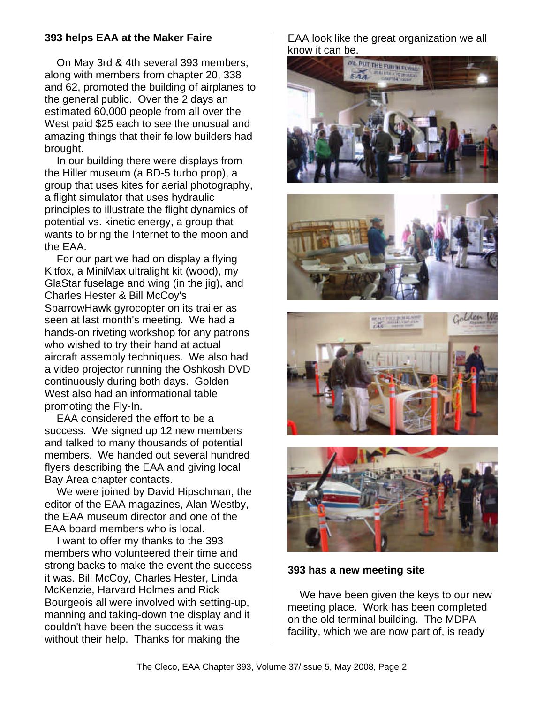#### **393 helps EAA at the Maker Faire**

On May 3rd & 4th several 393 members, along with members from chapter 20, 338 and 62, promoted the building of airplanes to the general public. Over the 2 days an estimated 60,000 people from all over the West paid \$25 each to see the unusual and amazing things that their fellow builders had brought.

In our building there were displays from the Hiller museum (a BD-5 turbo prop), a group that uses kites for aerial photography, a flight simulator that uses hydraulic principles to illustrate the flight dynamics of potential vs. kinetic energy, a group that wants to bring the Internet to the moon and the EAA.

For our part we had on display a flying Kitfox, a MiniMax ultralight kit (wood), my GlaStar fuselage and wing (in the jig), and Charles Hester & Bill McCoy's SparrowHawk gyrocopter on its trailer as seen at last month's meeting. We had a hands-on riveting workshop for any patrons who wished to try their hand at actual aircraft assembly techniques. We also had a video projector running the Oshkosh DVD continuously during both days. Golden West also had an informational table promoting the Fly-In.

EAA considered the effort to be a success. We signed up 12 new members and talked to many thousands of potential members. We handed out several hundred flyers describing the EAA and giving local Bay Area chapter contacts.

We were joined by David Hipschman, the editor of the EAA magazines, Alan Westby, the EAA museum director and one of the EAA board members who is local.

I want to offer my thanks to the 393 members who volunteered their time and strong backs to make the event the success it was. Bill McCoy, Charles Hester, Linda McKenzie, Harvard Holmes and Rick Bourgeois all were involved with setting-up, manning and taking-down the display and it couldn't have been the success it was without their help. Thanks for making the

EAA look like the great organization we all know it can be.









#### **393 has a new meeting site**

We have been given the keys to our new meeting place. Work has been completed on the old terminal building. The MDPA facility, which we are now part of, is ready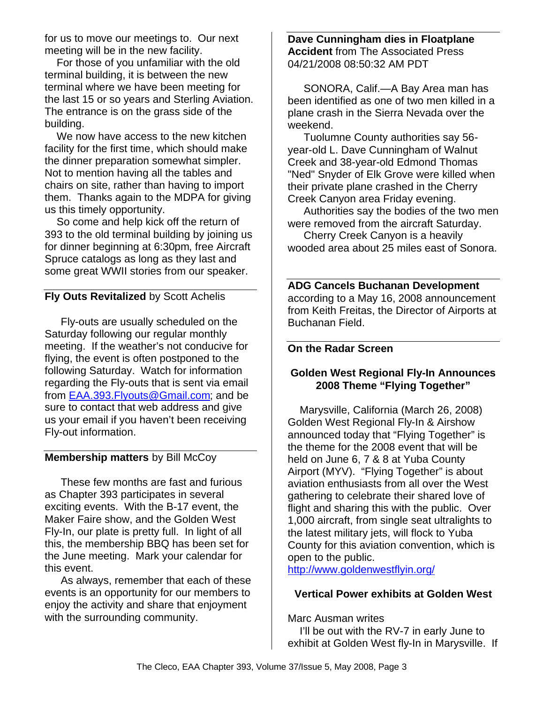for us to move our meetings to. Our next meeting will be in the new facility.

For those of you unfamiliar with the old terminal building, it is between the new terminal where we have been meeting for the last 15 or so years and Sterling Aviation. The entrance is on the grass side of the building.

We now have access to the new kitchen facility for the first time, which should make the dinner preparation somewhat simpler. Not to mention having all the tables and chairs on site, rather than having to import them. Thanks again to the MDPA for giving us this timely opportunity.

So come and help kick off the return of 393 to the old terminal building by joining us for dinner beginning at 6:30pm, free Aircraft Spruce catalogs as long as they last and some great WWII stories from our speaker.

## **Fly Outs Revitalized** by Scott Achelis

Fly-outs are usually scheduled on the Saturday following our regular monthly meeting. If the weather's not conducive for flying, the event is often postponed to the following Saturday. Watch for information regarding the Fly-outs that is sent via email from EAA.393.Flyouts@Gmail.com; and be sure to contact that web address and give us your email if you haven't been receiving Fly-out information.

### **Membership matters** by Bill McCoy

These few months are fast and furious as Chapter 393 participates in several exciting events. With the B-17 event, the Maker Faire show, and the Golden West Fly-In, our plate is pretty full. In light of all this, the membership BBQ has been set for the June meeting. Mark your calendar for this event.

As always, remember that each of these events is an opportunity for our members to enjoy the activity and share that enjoyment with the surrounding community.

#### **Dave Cunningham dies in Floatplane Accident** from The Associated Press 04/21/2008 08:50:32 AM PDT

SONORA, Calif.—A Bay Area man has been identified as one of two men killed in a plane crash in the Sierra Nevada over the weekend.

Tuolumne County authorities say 56 year-old L. Dave Cunningham of Walnut Creek and 38-year-old Edmond Thomas "Ned" Snyder of Elk Grove were killed when their private plane crashed in the Cherry Creek Canyon area Friday evening.

Authorities say the bodies of the two men were removed from the aircraft Saturday.

Cherry Creek Canyon is a heavily wooded area about 25 miles east of Sonora.

## **ADG Cancels Buchanan Development**

according to a May 16, 2008 announcement from Keith Freitas, the Director of Airports at Buchanan Field.

#### **On the Radar Screen**

#### **Golden West Regional Fly-In Announces 2008 Theme "Flying Together"**

Marysville, California (March 26, 2008) Golden West Regional Fly-In & Airshow announced today that "Flying Together" is the theme for the 2008 event that will be held on June 6, 7 & 8 at Yuba County Airport (MYV). "Flying Together" is about aviation enthusiasts from all over the West gathering to celebrate their shared love of flight and sharing this with the public. Over 1,000 aircraft, from single seat ultralights to the latest military jets, will flock to Yuba County for this aviation convention, which is open to the public.

http://www.goldenwestflyin.org/

#### **Vertical Power exhibits at Golden West**

Marc Ausman writes I'll be out with the RV-7 in early June to exhibit at Golden West fly-In in Marysville. If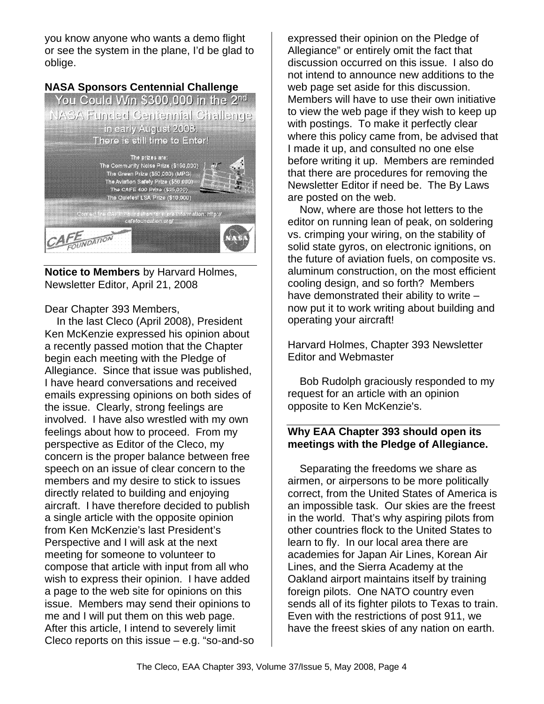you know anyone who wants a demo flight or see the system in the plane, I'd be glad to oblige.



**Notice to Members** by Harvard Holmes, Newsletter Editor, April 21, 2008

Dear Chapter 393 Members,

In the last Cleco (April 2008), President Ken McKenzie expressed his opinion about a recently passed motion that the Chapter begin each meeting with the Pledge of Allegiance. Since that issue was published, I have heard conversations and received emails expressing opinions on both sides of the issue. Clearly, strong feelings are involved. I have also wrestled with my own feelings about how to proceed. From my perspective as Editor of the Cleco, my concern is the proper balance between free speech on an issue of clear concern to the members and my desire to stick to issues directly related to building and enjoying aircraft. I have therefore decided to publish a single article with the opposite opinion from Ken McKenzie's last President's Perspective and I will ask at the next meeting for someone to volunteer to compose that article with input from all who wish to express their opinion. I have added a page to the web site for opinions on this issue. Members may send their opinions to me and I will put them on this web page. After this article, I intend to severely limit Cleco reports on this issue – e.g. "so-and-so expressed their opinion on the Pledge of Allegiance" or entirely omit the fact that discussion occurred on this issue. I also do not intend to announce new additions to the web page set aside for this discussion. Members will have to use their own initiative to view the web page if they wish to keep up with postings. To make it perfectly clear where this policy came from, be advised that I made it up, and consulted no one else before writing it up. Members are reminded that there are procedures for removing the Newsletter Editor if need be. The By Laws are posted on the web.

Now, where are those hot letters to the editor on running lean of peak, on soldering vs. crimping your wiring, on the stability of solid state gyros, on electronic ignitions, on the future of aviation fuels, on composite vs. aluminum construction, on the most efficient cooling design, and so forth? Members have demonstrated their ability to write – now put it to work writing about building and operating your aircraft!

Harvard Holmes, Chapter 393 Newsletter Editor and Webmaster

Bob Rudolph graciously responded to my request for an article with an opinion opposite to Ken McKenzie's.

### **Why EAA Chapter 393 should open its meetings with the Pledge of Allegiance.**

Separating the freedoms we share as airmen, or airpersons to be more politically correct, from the United States of America is an impossible task. Our skies are the freest in the world. That's why aspiring pilots from other countries flock to the United States to learn to fly. In our local area there are academies for Japan Air Lines, Korean Air Lines, and the Sierra Academy at the Oakland airport maintains itself by training foreign pilots. One NATO country even sends all of its fighter pilots to Texas to train. Even with the restrictions of post 911, we have the freest skies of any nation on earth.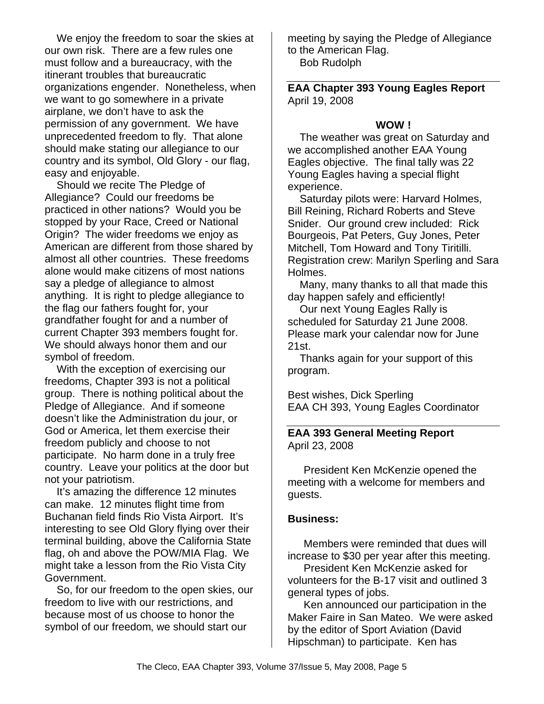We enjoy the freedom to soar the skies at our own risk. There are a few rules one must follow and a bureaucracy, with the itinerant troubles that bureaucratic organizations engender. Nonetheless, when we want to go somewhere in a private airplane, we don't have to ask the permission of any government. We have unprecedented freedom to fly. That alone should make stating our allegiance to our country and its symbol, Old Glory - our flag, easy and enjoyable.

Should we recite The Pledge of Allegiance? Could our freedoms be practiced in other nations? Would you be stopped by your Race, Creed or National Origin? The wider freedoms we enjoy as American are different from those shared by almost all other countries. These freedoms alone would make citizens of most nations say a pledge of allegiance to almost anything. It is right to pledge allegiance to the flag our fathers fought for, your grandfather fought for and a number of current Chapter 393 members fought for. We should always honor them and our symbol of freedom.

With the exception of exercising our freedoms, Chapter 393 is not a political group. There is nothing political about the Pledge of Allegiance. And if someone doesn't like the Administration du jour, or God or America, let them exercise their freedom publicly and choose to not participate. No harm done in a truly free country. Leave your politics at the door but not your patriotism.

It's amazing the difference 12 minutes can make. 12 minutes flight time from Buchanan field finds Rio Vista Airport. It's interesting to see Old Glory flying over their terminal building, above the California State flag, oh and above the POW/MIA Flag. We might take a lesson from the Rio Vista City Government.

So, for our freedom to the open skies, our freedom to live with our restrictions, and because most of us choose to honor the symbol of our freedom, we should start our

meeting by saying the Pledge of Allegiance to the American Flag. Bob Rudolph

**EAA Chapter 393 Young Eagles Report** April 19, 2008

#### **WOW !**

The weather was great on Saturday and we accomplished another EAA Young Eagles objective. The final tally was 22 Young Eagles having a special flight experience.

Saturday pilots were: Harvard Holmes, Bill Reining, Richard Roberts and Steve Snider. Our ground crew included: Rick Bourgeois, Pat Peters, Guy Jones, Peter Mitchell, Tom Howard and Tony Tiritilli. Registration crew: Marilyn Sperling and Sara Holmes.

Many, many thanks to all that made this day happen safely and efficiently!

Our next Young Eagles Rally is scheduled for Saturday 21 June 2008. Please mark your calendar now for June 21st.

Thanks again for your support of this program.

Best wishes, Dick Sperling EAA CH 393, Young Eagles Coordinator

#### **EAA 393 General Meeting Report** April 23, 2008

President Ken McKenzie opened the meeting with a welcome for members and guests.

#### **Business:**

Members were reminded that dues will increase to \$30 per year after this meeting.

President Ken McKenzie asked for volunteers for the B-17 visit and outlined 3 general types of jobs.

Ken announced our participation in the Maker Faire in San Mateo. We were asked by the editor of Sport Aviation (David Hipschman) to participate. Ken has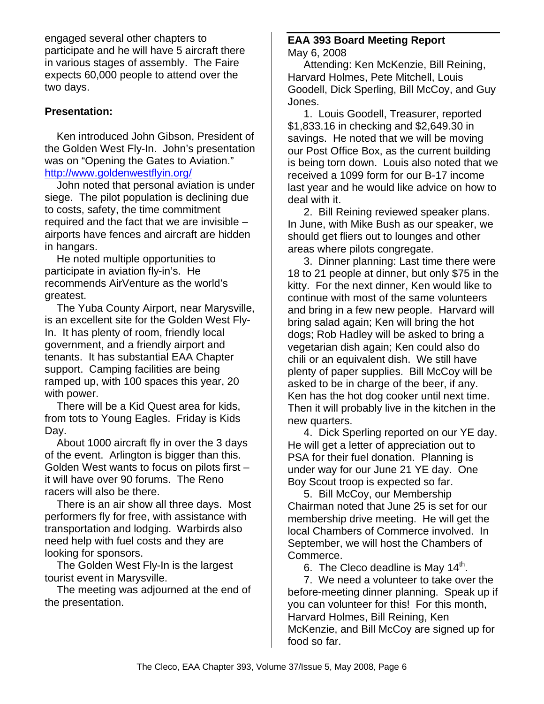engaged several other chapters to participate and he will have 5 aircraft there in various stages of assembly. The Faire expects 60,000 people to attend over the two days.

### **Presentation:**

Ken introduced John Gibson, President of the Golden West Fly-In. John's presentation was on "Opening the Gates to Aviation." http://www.goldenwestflyin.org/

John noted that personal aviation is under siege. The pilot population is declining due to costs, safety, the time commitment required and the fact that we are invisible – airports have fences and aircraft are hidden in hangars.

He noted multiple opportunities to participate in aviation fly-in's. He recommends AirVenture as the world's greatest.

The Yuba County Airport, near Marysville, is an excellent site for the Golden West Fly-In. It has plenty of room, friendly local government, and a friendly airport and tenants. It has substantial EAA Chapter support. Camping facilities are being ramped up, with 100 spaces this year, 20 with power.

There will be a Kid Quest area for kids, from tots to Young Eagles. Friday is Kids Day.

About 1000 aircraft fly in over the 3 days of the event. Arlington is bigger than this. Golden West wants to focus on pilots first – it will have over 90 forums. The Reno racers will also be there.

There is an air show all three days. Most performers fly for free, with assistance with transportation and lodging. Warbirds also need help with fuel costs and they are looking for sponsors.

The Golden West Fly-In is the largest tourist event in Marysville.

The meeting was adjourned at the end of the presentation.

#### **EAA 393 Board Meeting Report** May 6, 2008

Attending: Ken McKenzie, Bill Reining, Harvard Holmes, Pete Mitchell, Louis Goodell, Dick Sperling, Bill McCoy, and Guy Jones.

1. Louis Goodell, Treasurer, reported \$1,833.16 in checking and \$2,649.30 in savings. He noted that we will be moving our Post Office Box, as the current building is being torn down. Louis also noted that we received a 1099 form for our B-17 income last year and he would like advice on how to deal with it.

2. Bill Reining reviewed speaker plans. In June, with Mike Bush as our speaker, we should get fliers out to lounges and other areas where pilots congregate.

3. Dinner planning: Last time there were 18 to 21 people at dinner, but only \$75 in the kitty. For the next dinner, Ken would like to continue with most of the same volunteers and bring in a few new people. Harvard will bring salad again; Ken will bring the hot dogs; Rob Hadley will be asked to bring a vegetarian dish again; Ken could also do chili or an equivalent dish. We still have plenty of paper supplies. Bill McCoy will be asked to be in charge of the beer, if any. Ken has the hot dog cooker until next time. Then it will probably live in the kitchen in the new quarters.

4. Dick Sperling reported on our YE day. He will get a letter of appreciation out to PSA for their fuel donation. Planning is under way for our June 21 YE day. One Boy Scout troop is expected so far.

5. Bill McCoy, our Membership Chairman noted that June 25 is set for our membership drive meeting. He will get the local Chambers of Commerce involved. In September, we will host the Chambers of Commerce.

6. The Cleco deadline is May 14<sup>th</sup>.

7. We need a volunteer to take over the before-meeting dinner planning. Speak up if you can volunteer for this! For this month, Harvard Holmes, Bill Reining, Ken McKenzie, and Bill McCoy are signed up for food so far.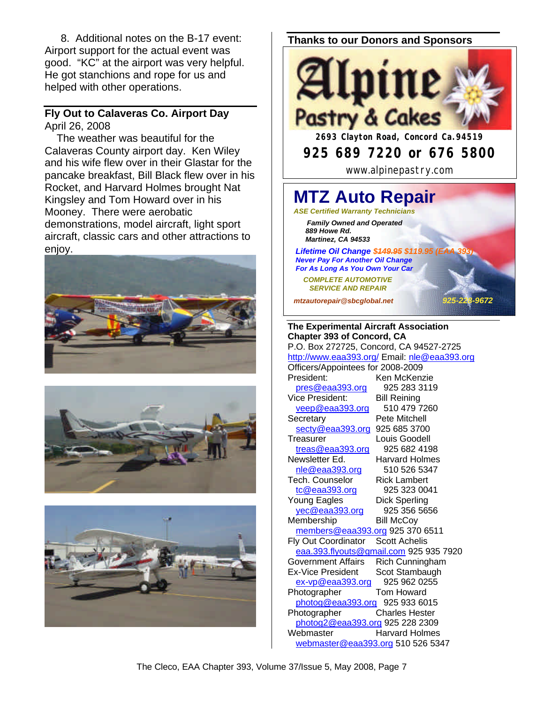8. Additional notes on the B-17 event: Airport support for the actual event was good. "KC" at the airport was very helpful. He got stanchions and rope for us and helped with other operations.

#### **Fly Out to Calaveras Co. Airport Day** April 26, 2008

The weather was beautiful for the Calaveras County airport day. Ken Wiley and his wife flew over in their Glastar for the pancake breakfast, Bill Black flew over in his Rocket, and Harvard Holmes brought Nat Kingsley and Tom Howard over in his Mooney. There were aerobatic demonstrations, model aircraft, light sport aircraft, classic cars and other attractions to enjoy.







#### **Thanks to our Donors and Sponsors**



Officers/Appointees for 2008-2009 President: Ken McKenzie pres@eaa393.org 925 283 3119 Vice President: Bill Reining veep@eaa393.org 510 479 7260 Secretary Pete Mitchell secty@eaa393.org 925 685 3700 Treasurer Louis Goodell treas@eaa393.org 925 682 4198 Newsletter Ed. Harvard Holmes nle@eaa393.org 510 526 5347 Tech. Counselor Rick Lambert tc@eaa393.org 925 323 0041 Young Eagles Dick Sperling yec@eaa393.org 925 356 5656 Membership Bill McCoy members@eaa393.org 925 370 6511 Fly Out Coordinator Scott Achelis eaa.393.flyouts@gmail.com 925 935 7920 Government Affairs Rich Cunningham Ex-Vice President Scot Stambaugh ex-vp@eaa393.org 925 962 0255 Photographer Tom Howard photog@eaa393.org 925 933 6015 Photographer Charles Hester photog2@eaa393.org 925 228 2309 Webmaster Harvard Holmes webmaster@eaa393.org 510 526 5347